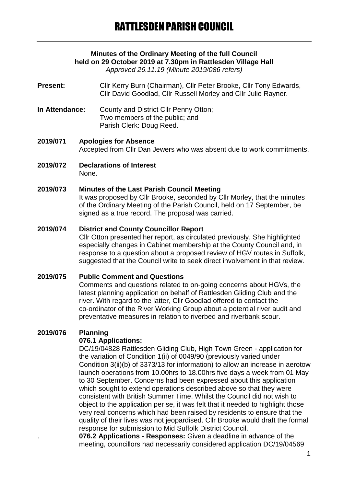# **Minutes of the Ordinary Meeting of the full Council held on 29 October 2019 at 7.30pm in Rattlesden Village Hall**

*Approved 26.11.19 (Minute 2019/086 refers)*

**Present:** Cllr Kerry Burn (Chairman), Cllr Peter Brooke, Cllr Tony Edwards, Cllr David Goodlad, Cllr Russell Morley and Cllr Julie Rayner.

**In Attendance:** County and District Cllr Penny Otton; Two members of the public; and Parish Clerk: Doug Reed.

**2019/071 Apologies for Absence** Accepted from Cllr Dan Jewers who was absent due to work commitments.

**2019/072 Declarations of Interest** None.

### **2019/073 Minutes of the Last Parish Council Meeting**

It was proposed by Cllr Brooke, seconded by Cllr Morley, that the minutes of the Ordinary Meeting of the Parish Council, held on 17 September, be signed as a true record. The proposal was carried.

### **2019/074 District and County Councillor Report**

Cllr Otton presented her report, as circulated previously. She highlighted especially changes in Cabinet membership at the County Council and, in response to a question about a proposed review of HGV routes in Suffolk, suggested that the Council write to seek direct involvement in that review.

### **2019/075 Public Comment and Questions**

Comments and questions related to on-going concerns about HGVs, the latest planning application on behalf of Rattlesden Gliding Club and the river. With regard to the latter, Cllr Goodlad offered to contact the co-ordinator of the River Working Group about a potential river audit and preventative measures in relation to riverbed and riverbank scour.

## **2019/076 Planning**

### **076.1 Applications:**

DC/19/04828 Rattlesden Gliding Club, High Town Green - application for the variation of Condition 1(ii) of 0049/90 (previously varied under Condition 3(ii)(b) of 3373/13 for information) to allow an increase in aerotow launch operations from 10.00hrs to 18.00hrs five days a week from 01 May to 30 September. Concerns had been expressed about this application which sought to extend operations described above so that they were consistent with British Summer Time. Whilst the Council did not wish to object to the application per se, it was felt that it needed to highlight those very real concerns which had been raised by residents to ensure that the quality of their lives was not jeopardised. Cllr Brooke would draft the formal response for submission to Mid Suffolk District Council.

. **076.2 Applications - Responses:** Given a deadline in advance of the meeting, councillors had necessarily considered application DC/19/04569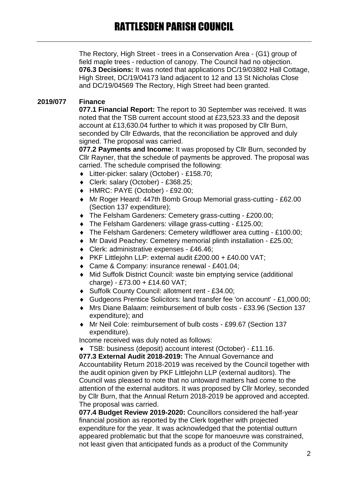The Rectory, High Street - trees in a Conservation Area - (G1) group of field maple trees - reduction of canopy. The Council had no objection. **076.3 Decisions:** It was noted that applications DC/19/03802 Hall Cottage, High Street, DC/19/04173 land adjacent to 12 and 13 St Nicholas Close and DC/19/04569 The Rectory, High Street had been granted.

## **2019/077 Finance**

**077.1 Financial Report:** The report to 30 September was received. It was noted that the TSB current account stood at £23,523.33 and the deposit account at £13,630.04 further to which it was proposed by Cllr Burn, seconded by Cllr Edwards, that the reconciliation be approved and duly signed. The proposal was carried.

**077.2 Payments and Income:** It was proposed by Cllr Burn, seconded by Cllr Rayner, that the schedule of payments be approved. The proposal was carried. The schedule comprised the following:

- Litter-picker: salary (October) £158.70;
- Clerk: salary (October) £368.25;
- HMRC: PAYE (October) £92.00;
- Mr Roger Heard: 447th Bomb Group Memorial grass-cutting £62.00 (Section 137 expenditure);
- The Felsham Gardeners: Cemetery grass-cutting £200.00;
- ◆ The Felsham Gardeners: village grass-cutting £125.00;
- The Felsham Gardeners: Cemetery wildflower area cutting £100.00;
- Mr David Peachey: Cemetery memorial plinth installation £25.00;
- Clerk: administrative expenses £46.46;
- ◆ PKF Littlejohn LLP: external audit £200.00 + £40.00 VAT;
- ◆ Came & Company: insurance renewal £401.04;
- Mid Suffolk District Council: waste bin emptying service (additional  $charce) - £73.00 + £14.60$  VAT:
- ◆ Suffolk County Council: allotment rent £34.00;
- Gudgeons Prentice Solicitors: land transfer fee 'on account' £1,000.00;
- Mrs Diane Balaam: reimbursement of bulb costs £33.96 (Section 137 expenditure); and
- Mr Neil Cole: reimbursement of bulb costs £99.67 (Section 137 expenditure).

Income received was duly noted as follows:

TSB: business (deposit) account interest (October) - £11.16.

**077.3 External Audit 2018-2019:** The Annual Governance and Accountability Return 2018-2019 was received by the Council together with the audit opinion given by PKF Littlejohn LLP (external auditors). The Council was pleased to note that no untoward matters had come to the attention of the external auditors. It was proposed by Cllr Morley, seconded by Cllr Burn, that the Annual Return 2018-2019 be approved and accepted. The proposal was carried.

**077.4 Budget Review 2019-2020:** Councillors considered the half-year financial position as reported by the Clerk together with projected expenditure for the year. It was acknowledged that the potential outturn appeared problematic but that the scope for manoeuvre was constrained, not least given that anticipated funds as a product of the Community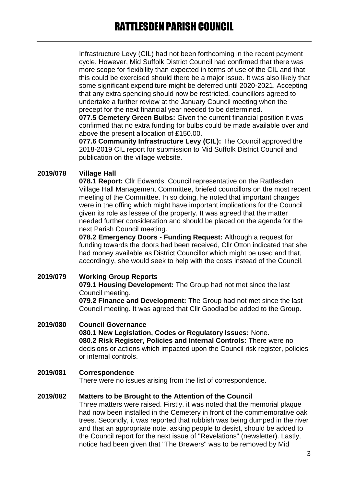Infrastructure Levy (CIL) had not been forthcoming in the recent payment cycle. However, Mid Suffolk District Council had confirmed that there was more scope for flexibility than expected in terms of use of the CIL and that this could be exercised should there be a major issue. It was also likely that some significant expenditure might be deferred until 2020-2021. Accepting that any extra spending should now be restricted. councillors agreed to undertake a further review at the January Council meeting when the precept for the next financial year needed to be determined.

**077.5 Cemetery Green Bulbs:** Given the current financial position it was confirmed that no extra funding for bulbs could be made available over and above the present allocation of £150.00.

**077.6 Community Infrastructure Levy (CIL):** The Council approved the 2018-2019 CIL report for submission to Mid Suffolk District Council and publication on the village website.

## **2019/078 Village Hall**

**078.1 Report:** Cllr Edwards, Council representative on the Rattlesden Village Hall Management Committee, briefed councillors on the most recent meeting of the Committee. In so doing, he noted that important changes were in the offing which might have important implications for the Council given its role as lessee of the property. It was agreed that the matter needed further consideration and should be placed on the agenda for the next Parish Council meeting.

**078.2 Emergency Doors - Funding Request:** Although a request for funding towards the doors had been received, Cllr Otton indicated that she had money available as District Councillor which might be used and that, accordingly, she would seek to help with the costs instead of the Council.

**2019/079 Working Group Reports**

**079.1 Housing Development:** The Group had not met since the last Council meeting.

**079.2 Finance and Development:** The Group had not met since the last Council meeting. It was agreed that Cllr Goodlad be added to the Group.

### **2019/080 Council Governance 080.1 New Legislation, Codes or Regulatory Issues:** None. **080.2 Risk Register, Policies and Internal Controls:** There were no decisions or actions which impacted upon the Council risk register, policies or internal controls.

## **2019/081 Correspondence**

There were no issues arising from the list of correspondence.

### **2019/082 Matters to be Brought to the Attention of the Council**

Three matters were raised. Firstly, it was noted that the memorial plaque had now been installed in the Cemetery in front of the commemorative oak trees. Secondly, it was reported that rubbish was being dumped in the river and that an appropriate note, asking people to desist, should be added to the Council report for the next issue of "Revelations" (newsletter). Lastly, notice had been given that "The Brewers" was to be removed by Mid